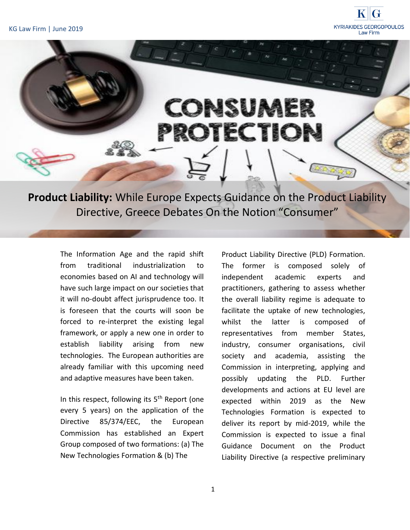**KYRIAKIDES GEORGOPOULOS Law Firm** 

CONSUMER PROTECTION

**Product Liability:** While Europe Expects Guidance on the Product Liability Directive, Greece Debates On the Notion "Consumer"

The Information Age and the rapid shift from traditional industrialization to economies based on AI and technology will have such large impact on our societies that it will no-doubt affect jurisprudence too. It is foreseen that the courts will soon be forced to re-interpret the existing legal framework, or apply a new one in order to establish liability arising from new technologies. The European authorities are already familiar with this upcoming need and adaptive measures have been taken.

In this respect, following its  $5<sup>th</sup>$  Report (one every 5 years) on the application of the Directive 85/374/EEC, the European Commission has established an Expert Group composed of two formations: (a) The New Technologies Formation & (b) The

Product Liability Directive (PLD) Formation. The former is composed solely of independent academic experts and practitioners, gathering to assess whether the overall liability regime is adequate to facilitate the uptake of new technologies, whilst the latter is composed of representatives from member States, industry, consumer organisations, civil society and academia, assisting the Commission in interpreting, applying and possibly updating the PLD. Further developments and actions at EU level are expected within 2019 as the New Technologies Formation is expected to deliver its report by mid-2019, while the Commission is expected to issue a final Guidance Document on the Product Liability Directive (a respective preliminary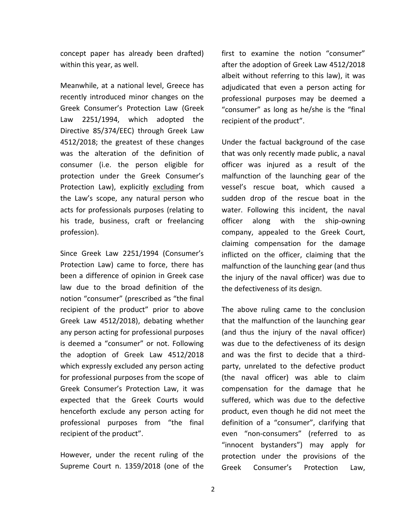concept paper has already been drafted) within this year, as well.

Meanwhile, at a national level, Greece has recently introduced minor changes on the Greek Consumer's Protection Law (Greek Law 2251/1994, which adopted the Directive 85/374/EEC) through Greek Law 4512/2018; the greatest of these changes was the alteration of the definition of consumer (i.e. the person eligible for protection under the Greek Consumer's Protection Law), explicitly excluding from the Law's scope, any natural person who acts for professionals purposes (relating to his trade, business, craft or freelancing profession).

Since Greek Law 2251/1994 (Consumer's Protection Law) came to force, there has been a difference of opinion in Greek case law due to the broad definition of the notion "consumer" (prescribed as "the final recipient of the product" prior to above Greek Law 4512/2018), debating whether any person acting for professional purposes is deemed a "consumer" or not. Following the adoption of Greek Law 4512/2018 which expressly excluded any person acting for professional purposes from the scope of Greek Consumer's Protection Law, it was expected that the Greek Courts would henceforth exclude any person acting for professional purposes from "the final recipient of the product".

However, under the recent ruling of the Supreme Court n. 1359/2018 (one of the first to examine the notion "consumer" after the adoption of Greek Law 4512/2018 albeit without referring to this law), it was adjudicated that even a person acting for professional purposes may be deemed a "consumer" as long as he/she is the "final recipient of the product".

Under the factual background of the case that was only recently made public, a naval officer was injured as a result of the malfunction of the launching gear of the vessel's rescue boat, which caused a sudden drop of the rescue boat in the water. Following this incident, the naval officer along with the ship-owning company, appealed to the Greek Court, claiming compensation for the damage inflicted on the officer, claiming that the malfunction of the launching gear (and thus the injury of the naval officer) was due to the defectiveness of its design.

The above ruling came to the conclusion that the malfunction of the launching gear (and thus the injury of the naval officer) was due to the defectiveness of its design and was the first to decide that a thirdparty, unrelated to the defective product (the naval officer) was able to claim compensation for the damage that he suffered, which was due to the defective product, even though he did not meet the definition of a "consumer", clarifying that even "non-consumers" (referred to as "innocent bystanders") may apply for protection under the provisions of the Greek Consumer's Protection Law,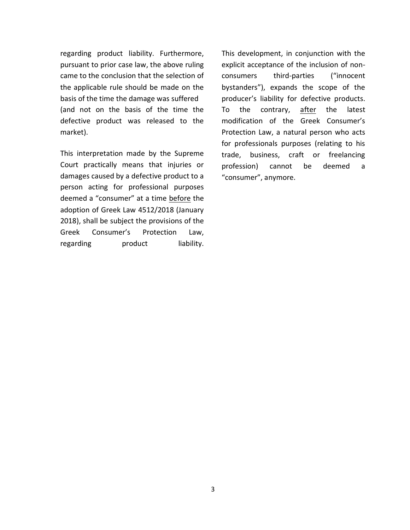regarding product liability. Furthermore, pursuant to prior case law, the above ruling came to the conclusion that the selection of the applicable rule should be made on the basis of the time the damage was suffered (and not on the basis of the time the defective product was released to the market).

This interpretation made by the Supreme Court practically means that injuries or damages caused by a defective product to a person acting for professional purposes deemed a "consumer" at a time before the adoption of Greek Law 4512/2018 (January 2018), shall be subject the provisions of the Greek Consumer's Protection Law, regarding product liability.

This development, in conjunction with the explicit acceptance of the inclusion of nonconsumers third-parties ("innocent bystanders"), expands the scope of the producer's liability for defective products. To the contrary, after the latest modification of the Greek Consumer's Protection Law, a natural person who acts for professionals purposes (relating to his trade, business, craft or freelancing profession) cannot be deemed a "consumer", anymore.